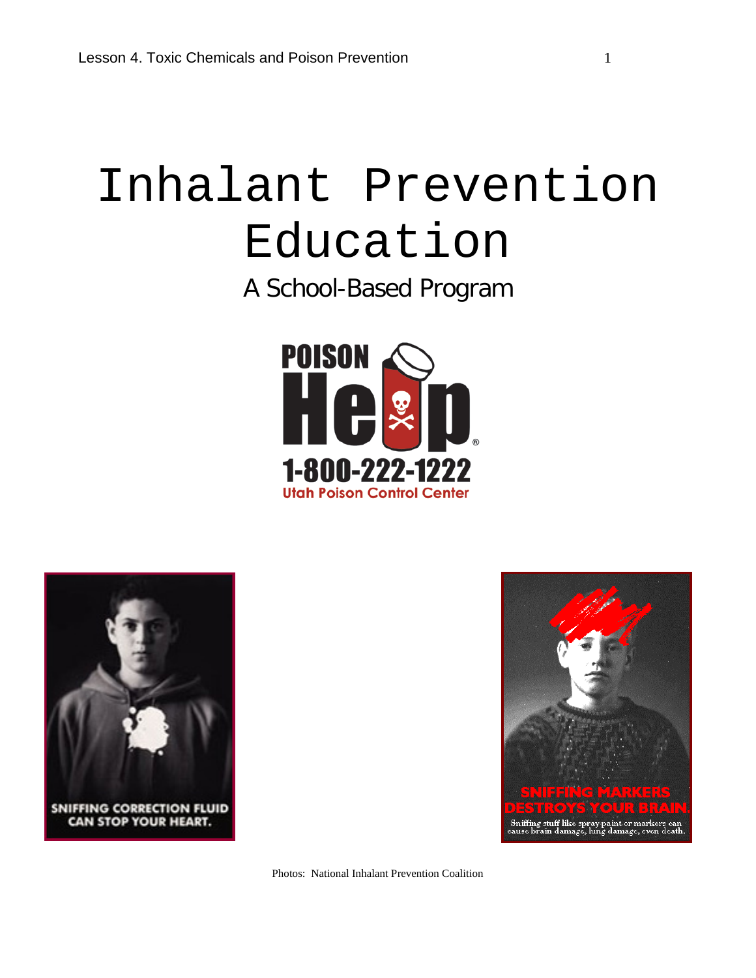# Inhalant Prevention Education

A School-Based Program







Photos: National Inhalant Prevention Coalition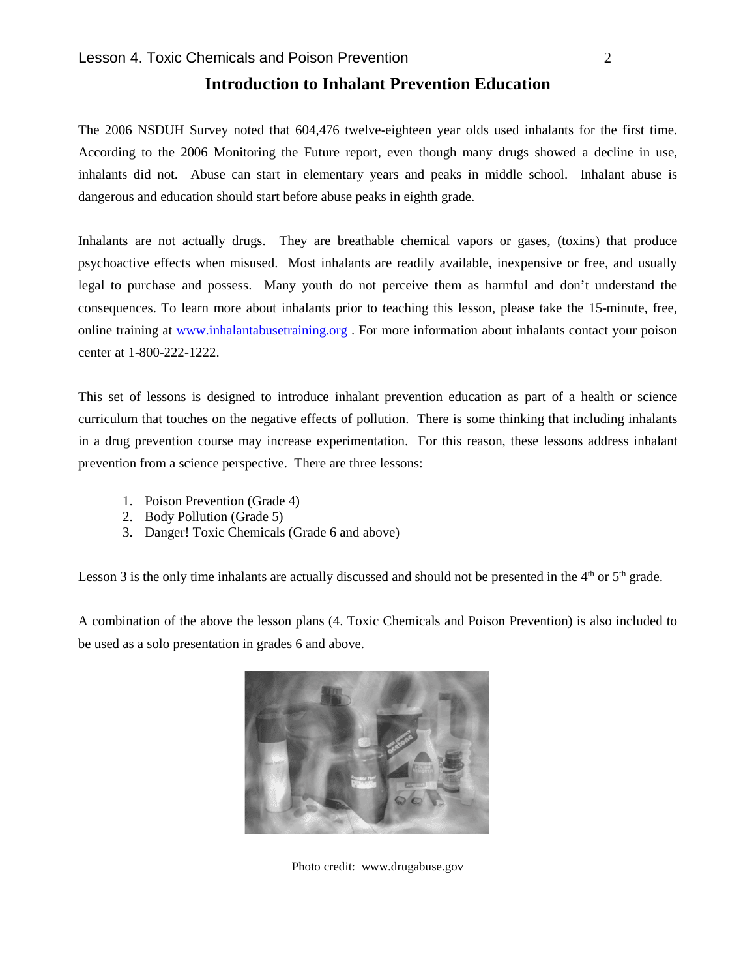### **Introduction to Inhalant Prevention Education**

The 2006 NSDUH Survey noted that 604,476 twelve-eighteen year olds used inhalants for the first time. According to the 2006 Monitoring the Future report, even though many drugs showed a decline in use, inhalants did not. Abuse can start in elementary years and peaks in middle school. Inhalant abuse is dangerous and education should start before abuse peaks in eighth grade.

Inhalants are not actually drugs. They are breathable chemical vapors or gases, (toxins) that produce psychoactive effects when misused. Most inhalants are readily available, inexpensive or free, and usually legal to purchase and possess. Many youth do not perceive them as harmful and don't understand the consequences. To learn more about inhalants prior to teaching this lesson, please take the 15-minute, free, online training at [www.inhalantabusetraining.org](http://www.inhalantabusetraining.org/) . For more information about inhalants contact your poison center at 1-800-222-1222.

This set of lessons is designed to introduce inhalant prevention education as part of a health or science curriculum that touches on the negative effects of pollution. There is some thinking that including inhalants in a drug prevention course may increase experimentation. For this reason, these lessons address inhalant prevention from a science perspective. There are three lessons:

- 1. Poison Prevention (Grade 4)
- 2. Body Pollution (Grade 5)
- 3. Danger! Toxic Chemicals (Grade 6 and above)

Lesson 3 is the only time inhalants are actually discussed and should not be presented in the  $4<sup>th</sup>$  or  $5<sup>th</sup>$  grade.

A combination of the above the lesson plans (4. Toxic Chemicals and Poison Prevention) is also included to be used as a solo presentation in grades 6 and above.



Photo credit: www.drugabuse.gov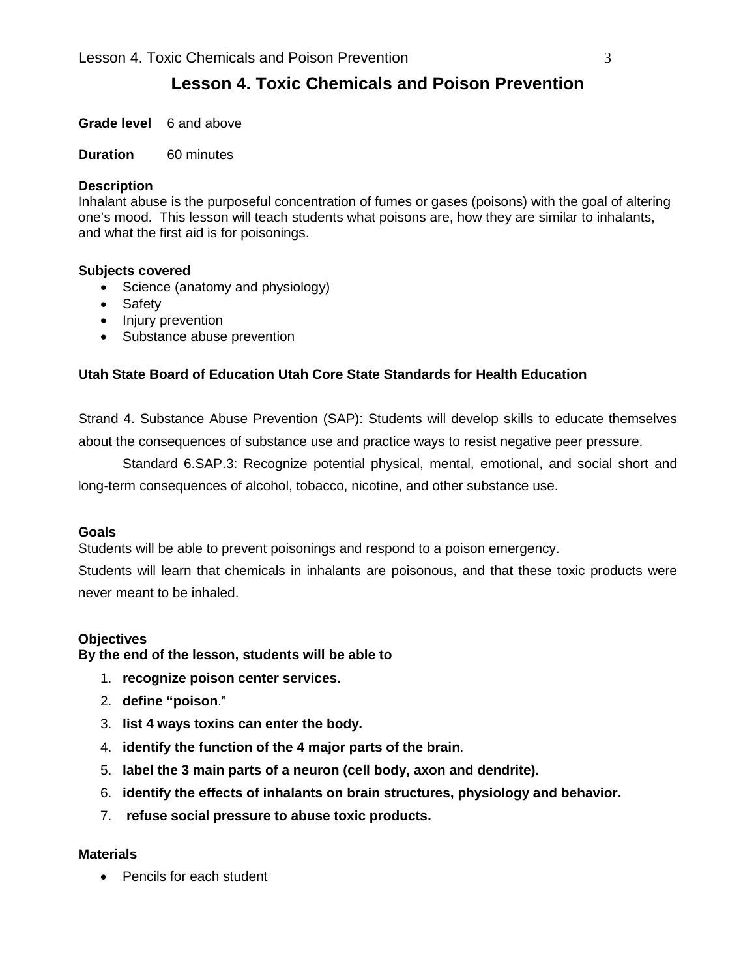### **Lesson 4. Toxic Chemicals and Poison Prevention**

**Grade level** 6 and above

#### **Duration** 60 minutes

### **Description**

Inhalant abuse is the purposeful concentration of fumes or gases (poisons) with the goal of altering one's mood. This lesson will teach students what poisons are, how they are similar to inhalants, and what the first aid is for poisonings.

### **Subjects covered**

- Science (anatomy and physiology)
- Safety
- Injury prevention
- Substance abuse prevention

### **Utah State Board of Education Utah Core State Standards for Health Education**

Strand 4. Substance Abuse Prevention (SAP): Students will develop skills to educate themselves about the consequences of substance use and practice ways to resist negative peer pressure.

Standard 6.SAP.3: Recognize potential physical, mental, emotional, and social short and long-term consequences of alcohol, tobacco, nicotine, and other substance use.

#### **Goals**

Students will be able to prevent poisonings and respond to a poison emergency.

Students will learn that chemicals in inhalants are poisonous, and that these toxic products were never meant to be inhaled.

### **Objectives**

**By the end of the lesson, students will be able to**

- 1. **recognize poison center services.**
- 2. **define "poison**."
- 3. **list 4 ways toxins can enter the body.**
- 4. **identify the function of the 4 major parts of the brain**.
- 5. **label the 3 main parts of a neuron (cell body, axon and dendrite).**
- 6. **identify the effects of inhalants on brain structures, physiology and behavior.**
- 7. **refuse social pressure to abuse toxic products.**

#### **Materials**

• Pencils for each student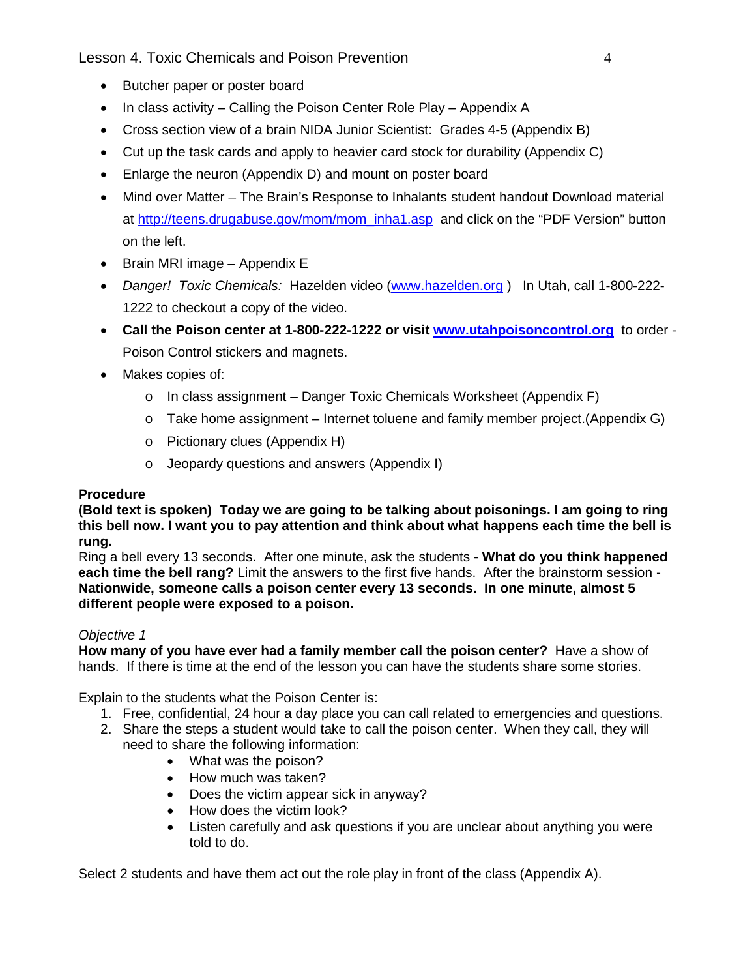Lesson 4. Toxic Chemicals and Poison Prevention 4

- Butcher paper or poster board
- In class activity Calling the Poison Center Role Play Appendix A
- Cross section view of a brain NIDA Junior Scientist: Grades 4-5 (Appendix B)
- Cut up the task cards and apply to heavier card stock for durability (Appendix C)
- Enlarge the neuron (Appendix D) and mount on poster board
- Mind over Matter The Brain's Response to Inhalants student handout Download material at [http://teens.drugabuse.gov/mom/mom\\_inha1.asp](http://teens.drugabuse.gov/mom/mom_inha1.asp) and click on the "PDF Version" button on the left.
- Brain MRI image Appendix E
- *Danger! Toxic Chemicals:* Hazelden video [\(www.hazelden.org](http://www.hazelden.org/) ) In Utah, call 1-800-222- 1222 to checkout a copy of the video.
- **Call the Poison center at 1-800-222-1222 or visit [www.utahpoisoncontrol.org](http://www.utahpoisoncontrol.org/)** to order Poison Control stickers and magnets.
- Makes copies of:
	- o In class assignment Danger Toxic Chemicals Worksheet (Appendix F)
	- $\circ$  Take home assignment Internet toluene and family member project. (Appendix G)
	- o Pictionary clues (Appendix H)
	- o Jeopardy questions and answers (Appendix I)

### **Procedure**

**(Bold text is spoken) Today we are going to be talking about poisonings. I am going to ring this bell now. I want you to pay attention and think about what happens each time the bell is rung.**

Ring a bell every 13 seconds. After one minute, ask the students - **What do you think happened each time the bell rang?** Limit the answers to the first five hands. After the brainstorm session - **Nationwide, someone calls a poison center every 13 seconds. In one minute, almost 5 different people were exposed to a poison.**

### *Objective 1*

**How many of you have ever had a family member call the poison center?** Have a show of hands. If there is time at the end of the lesson you can have the students share some stories.

Explain to the students what the Poison Center is:

- 1. Free, confidential, 24 hour a day place you can call related to emergencies and questions.
- 2. Share the steps a student would take to call the poison center. When they call, they will need to share the following information:
	- What was the poison?
	- How much was taken?
	- Does the victim appear sick in anyway?
	- How does the victim look?
	- Listen carefully and ask questions if you are unclear about anything you were told to do.

Select 2 students and have them act out the role play in front of the class (Appendix A).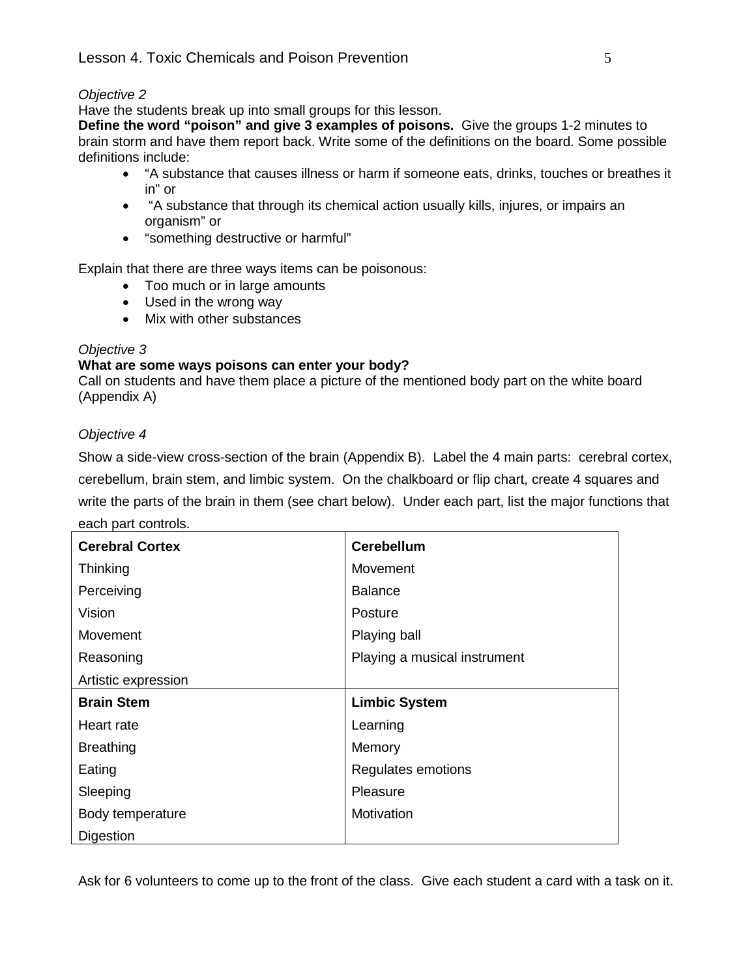### *Objective 2*

Have the students break up into small groups for this lesson.

**Define the word "poison" and give 3 examples of poisons.** Give the groups 1-2 minutes to brain storm and have them report back. Write some of the definitions on the board. Some possible definitions include:

- "A substance that causes illness or harm if someone eats, drinks, touches or breathes it in" or
- "A substance that through its chemical action usually kills, injures, or impairs an organism" or
- "something destructive or harmful"

Explain that there are three ways items can be poisonous:

- Too much or in large amounts
- Used in the wrong way
- Mix with other substances

### *Objective 3*

### **What are some ways poisons can enter your body?**

Call on students and have them place a picture of the mentioned body part on the white board (Appendix A)

### *Objective 4*

Show a side-view cross-section of the brain (Appendix B). Label the 4 main parts: cerebral cortex, cerebellum, brain stem, and limbic system. On the chalkboard or flip chart, create 4 squares and write the parts of the brain in them (see chart below). Under each part, list the major functions that

| each part controls. |  |
|---------------------|--|
|---------------------|--|

| <b>Cerebral Cortex</b> | <b>Cerebellum</b>            |
|------------------------|------------------------------|
| Thinking               | Movement                     |
| Perceiving             | <b>Balance</b>               |
| Vision                 | Posture                      |
| Movement               | Playing ball                 |
| Reasoning              | Playing a musical instrument |
| Artistic expression    |                              |
| <b>Brain Stem</b>      | <b>Limbic System</b>         |
| Heart rate             | Learning                     |
| <b>Breathing</b>       | Memory                       |
| Eating                 | Regulates emotions           |
| Sleeping               | Pleasure                     |
| Body temperature       | Motivation                   |
| <b>Digestion</b>       |                              |

Ask for 6 volunteers to come up to the front of the class. Give each student a card with a task on it.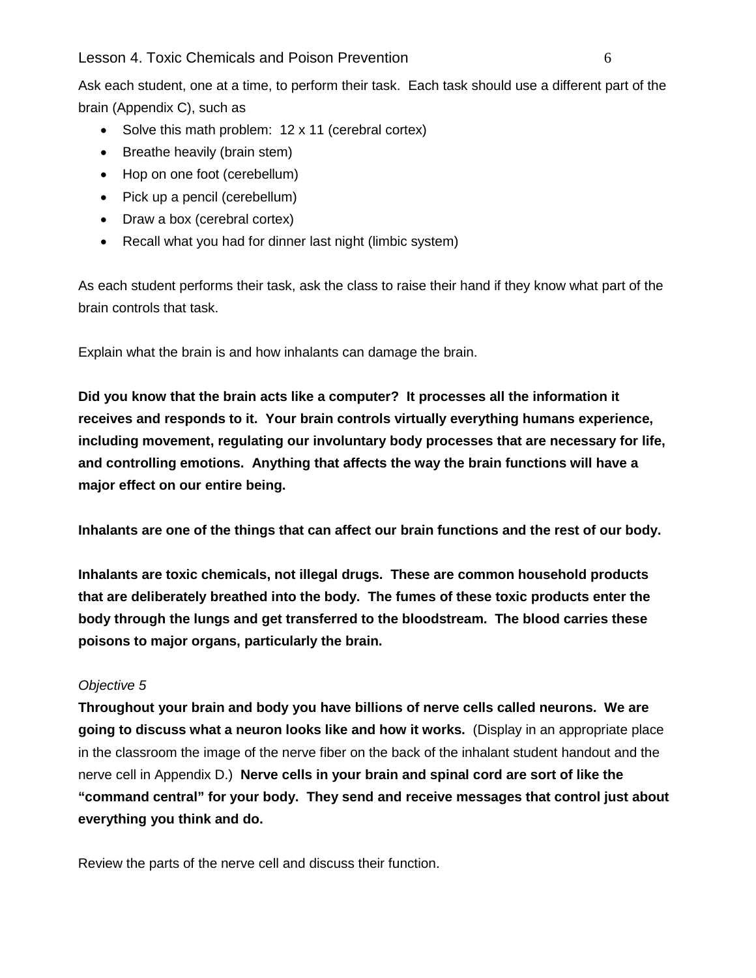### Lesson 4. Toxic Chemicals and Poison Prevention 6

Ask each student, one at a time, to perform their task. Each task should use a different part of the brain (Appendix C), such as

- Solve this math problem: 12 x 11 (cerebral cortex)
- Breathe heavily (brain stem)
- Hop on one foot (cerebellum)
- Pick up a pencil (cerebellum)
- Draw a box (cerebral cortex)
- Recall what you had for dinner last night (limbic system)

As each student performs their task, ask the class to raise their hand if they know what part of the brain controls that task.

Explain what the brain is and how inhalants can damage the brain.

**Did you know that the brain acts like a computer? It processes all the information it receives and responds to it. Your brain controls virtually everything humans experience, including movement, regulating our involuntary body processes that are necessary for life, and controlling emotions. Anything that affects the way the brain functions will have a major effect on our entire being.**

**Inhalants are one of the things that can affect our brain functions and the rest of our body.** 

**Inhalants are toxic chemicals, not illegal drugs. These are common household products that are deliberately breathed into the body. The fumes of these toxic products enter the body through the lungs and get transferred to the bloodstream. The blood carries these poisons to major organs, particularly the brain.** 

### *Objective 5*

**Throughout your brain and body you have billions of nerve cells called neurons. We are going to discuss what a neuron looks like and how it works.** (Display in an appropriate place in the classroom the image of the nerve fiber on the back of the inhalant student handout and the nerve cell in Appendix D.) **Nerve cells in your brain and spinal cord are sort of like the "command central" for your body. They send and receive messages that control just about everything you think and do.** 

Review the parts of the nerve cell and discuss their function.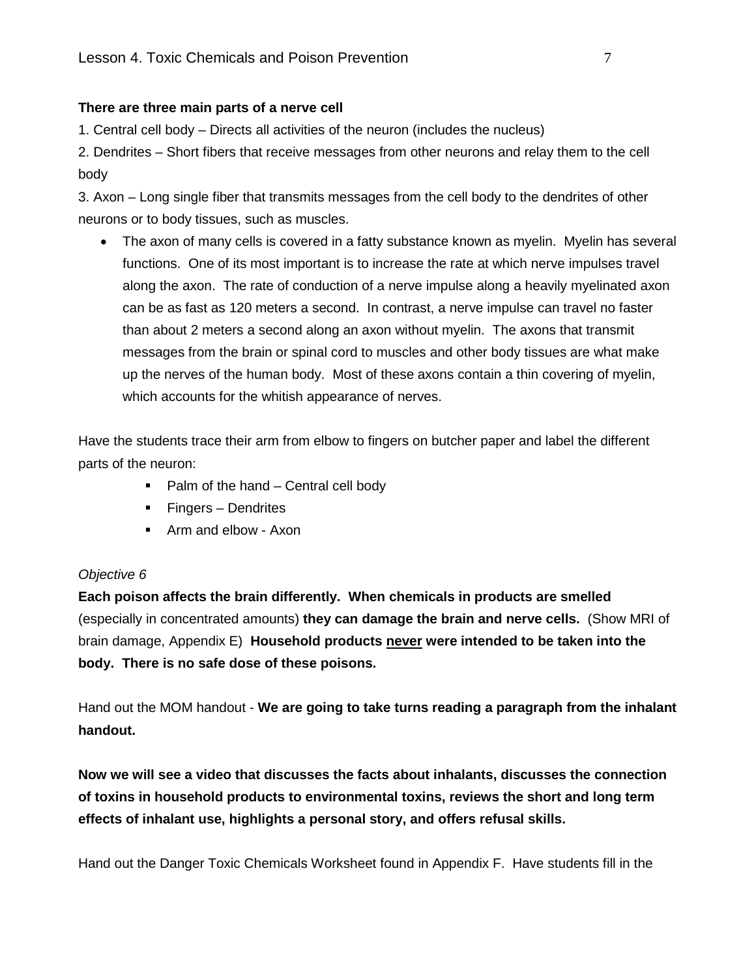### **There are three main parts of a nerve cell**

1. Central cell body – Directs all activities of the neuron (includes the nucleus)

2. Dendrites – Short fibers that receive messages from other neurons and relay them to the cell body

3. Axon – Long single fiber that transmits messages from the cell body to the dendrites of other neurons or to body tissues, such as muscles.

• The axon of many cells is covered in a fatty substance known as myelin. Myelin has several functions. One of its most important is to increase the rate at which nerve impulses travel along the axon. The rate of conduction of a nerve impulse along a heavily myelinated axon can be as fast as 120 meters a second. In contrast, a nerve impulse can travel no faster than about 2 meters a second along an axon without myelin. The axons that transmit messages from the brain or spinal cord to muscles and other body tissues are what make up the nerves of the human body. Most of these axons contain a thin covering of myelin, which accounts for the whitish appearance of nerves.

Have the students trace their arm from elbow to fingers on butcher paper and label the different parts of the neuron:

- $\blacksquare$  Palm of the hand Central cell body
- Fingers Dendrites
- **Arm and elbow Axon**

### *Objective 6*

**Each poison affects the brain differently. When chemicals in products are smelled**  (especially in concentrated amounts) **they can damage the brain and nerve cells.** (Show MRI of brain damage, Appendix E) **Household products never were intended to be taken into the body. There is no safe dose of these poisons.**

Hand out the MOM handout - **We are going to take turns reading a paragraph from the inhalant handout.** 

**Now we will see a video that discusses the facts about inhalants, discusses the connection of toxins in household products to environmental toxins, reviews the short and long term effects of inhalant use, highlights a personal story, and offers refusal skills.**

Hand out the Danger Toxic Chemicals Worksheet found in Appendix F. Have students fill in the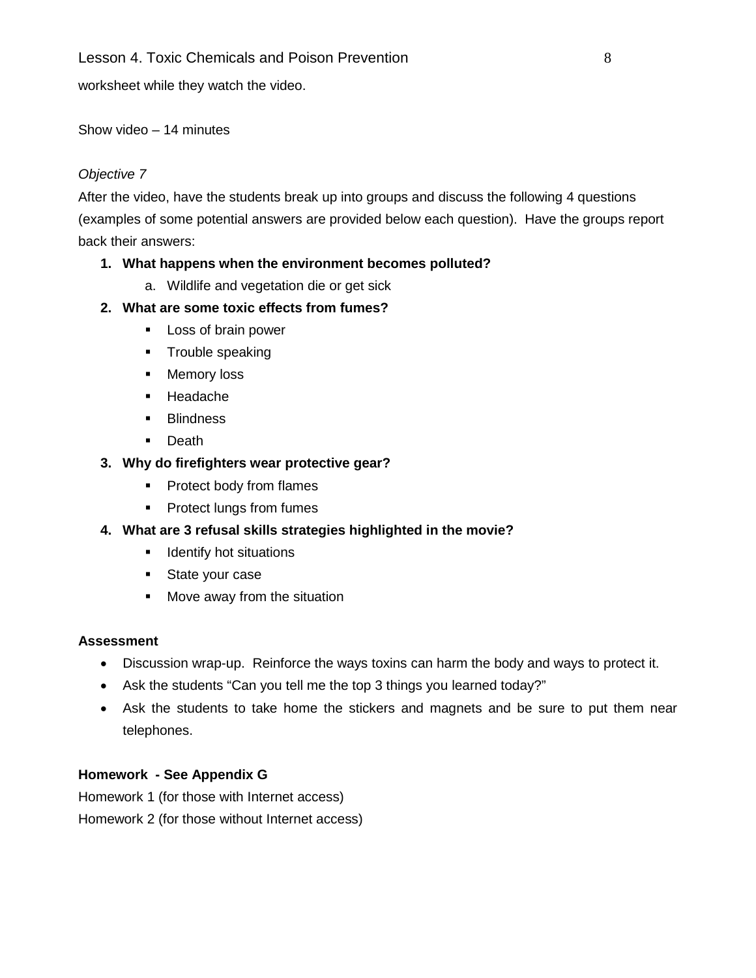### Lesson 4. Toxic Chemicals and Poison Prevention **8** and **8** and **8** and **8** and **8** and **8** and **8** and **8** and **8** and **8** and **8** and **8** and **8** and **8** and **8** and **8** and **8** and **8** and **8** and **8** and **8** and **8** an

worksheet while they watch the video.

### Show video – 14 minutes

### *Objective 7*

After the video, have the students break up into groups and discuss the following 4 questions (examples of some potential answers are provided below each question). Have the groups report back their answers:

### **1. What happens when the environment becomes polluted?**

a. Wildlife and vegetation die or get sick

### **2. What are some toxic effects from fumes?**

- **Loss of brain power**
- **Trouble speaking**
- **Memory loss**
- **Headache**
- **Blindness**
- **Death**

### **3. Why do firefighters wear protective gear?**

- Protect body from flames
- **Protect lungs from fumes**

### **4. What are 3 refusal skills strategies highlighted in the movie?**

- **If** Identify hot situations
- State your case
- **Nove away from the situation**

### **Assessment**

- Discussion wrap-up. Reinforce the ways toxins can harm the body and ways to protect it.
- Ask the students "Can you tell me the top 3 things you learned today?"
- Ask the students to take home the stickers and magnets and be sure to put them near telephones.

### **Homework - See Appendix G**

Homework 1 (for those with Internet access)

Homework 2 (for those without Internet access)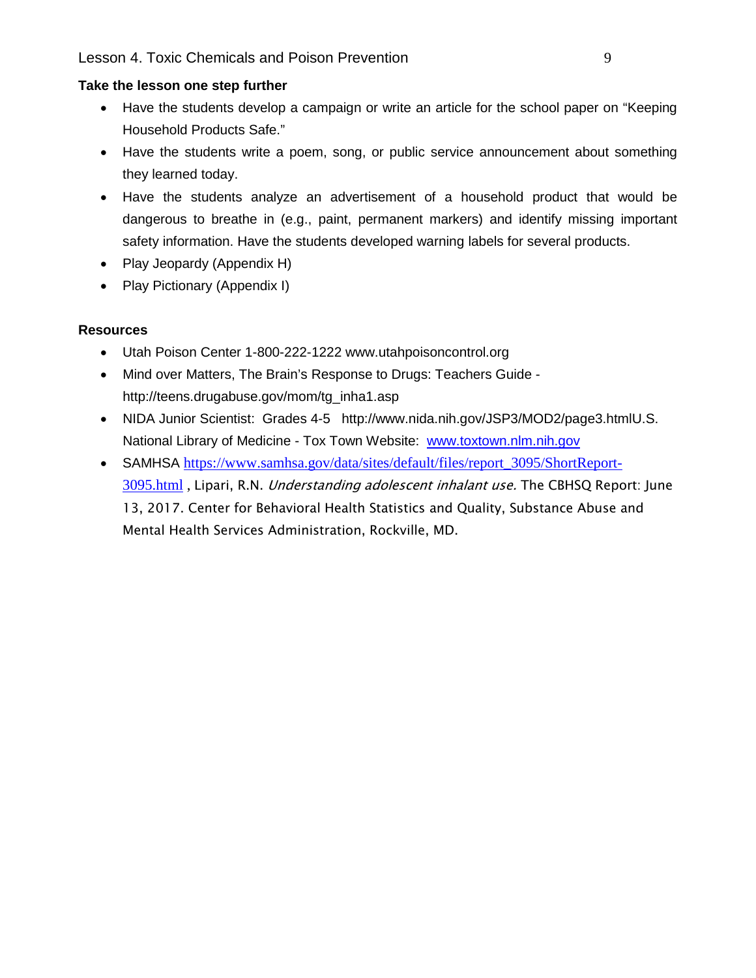### **Take the lesson one step further**

- Have the students develop a campaign or write an article for the school paper on "Keeping Household Products Safe."
- Have the students write a poem, song, or public service announcement about something they learned today.
- Have the students analyze an advertisement of a household product that would be dangerous to breathe in (e.g., paint, permanent markers) and identify missing important safety information. Have the students developed warning labels for several products.
- Play Jeopardy (Appendix H)
- Play Pictionary (Appendix I)

### **Resources**

- Utah Poison Center 1-800-222-1222 www.utahpoisoncontrol.org
- Mind over Matters, The Brain's Response to Drugs: Teachers Guide http://teens.drugabuse.gov/mom/tg\_inha1.asp
- NIDA Junior Scientist: Grades 4-5 http://www.nida.nih.gov/JSP3/MOD2/page3.htmlU.S. National Library of Medicine - Tox Town Website: www.toxtown.nlm.nih.gov
- SAMHSA [https://www.samhsa.gov/data/sites/default/files/report\\_3095/ShortReport-](https://www.samhsa.gov/data/sites/default/files/report_3095/ShortReport-3095.html)[3095.html](https://www.samhsa.gov/data/sites/default/files/report_3095/ShortReport-3095.html), Lipari, R.N. *Understanding adolescent inhalant use.* The CBHSQ Report: June 13, 2017. Center for Behavioral Health Statistics and Quality, Substance Abuse and Mental Health Services Administration, Rockville, MD.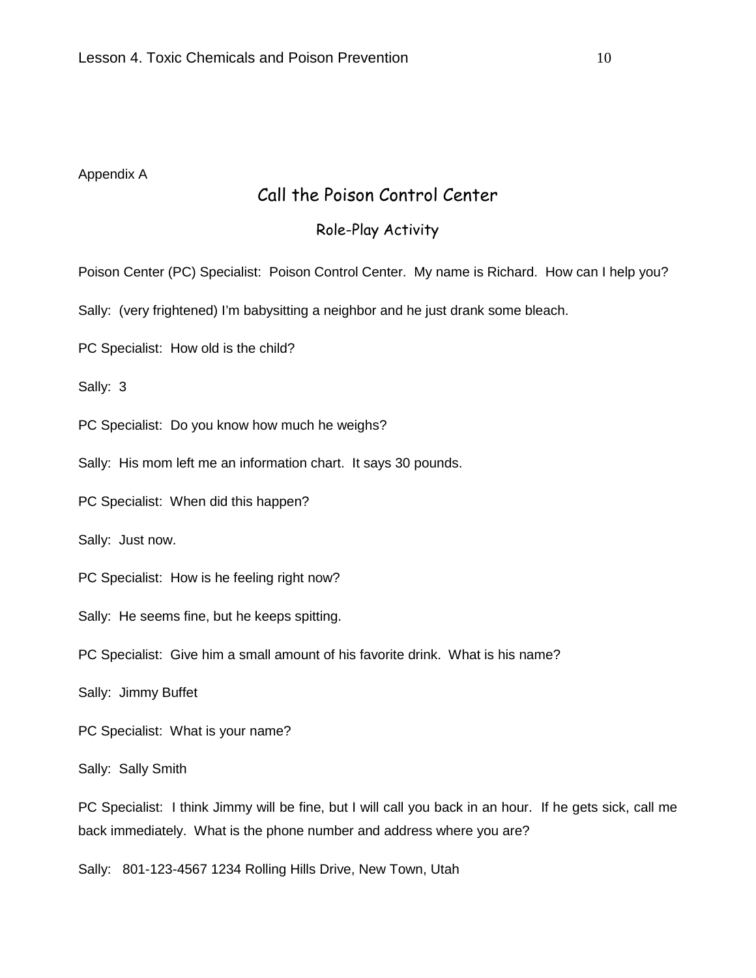#### Appendix A

### Call the Poison Control Center

### Role-Play Activity

Poison Center (PC) Specialist: Poison Control Center. My name is Richard. How can I help you?

Sally: (very frightened) I'm babysitting a neighbor and he just drank some bleach.

PC Specialist: How old is the child?

Sally: 3

PC Specialist: Do you know how much he weighs?

Sally: His mom left me an information chart. It says 30 pounds.

PC Specialist: When did this happen?

Sally: Just now.

PC Specialist: How is he feeling right now?

Sally: He seems fine, but he keeps spitting.

PC Specialist: Give him a small amount of his favorite drink. What is his name?

Sally: Jimmy Buffet

PC Specialist: What is your name?

Sally: Sally Smith

PC Specialist: I think Jimmy will be fine, but I will call you back in an hour. If he gets sick, call me back immediately. What is the phone number and address where you are?

Sally: 801-123-4567 1234 Rolling Hills Drive, New Town, Utah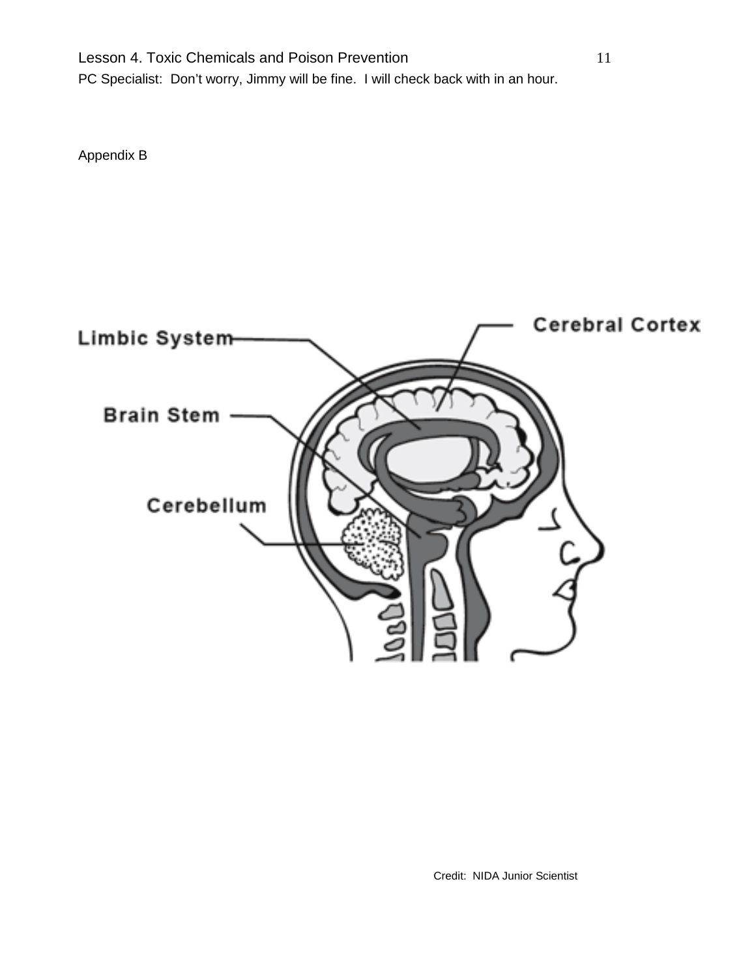Lesson 4. Toxic Chemicals and Poison Prevention 11 PC Specialist: Don't worry, Jimmy will be fine. I will check back with in an hour.

Appendix B



Credit: NIDA Junior Scientist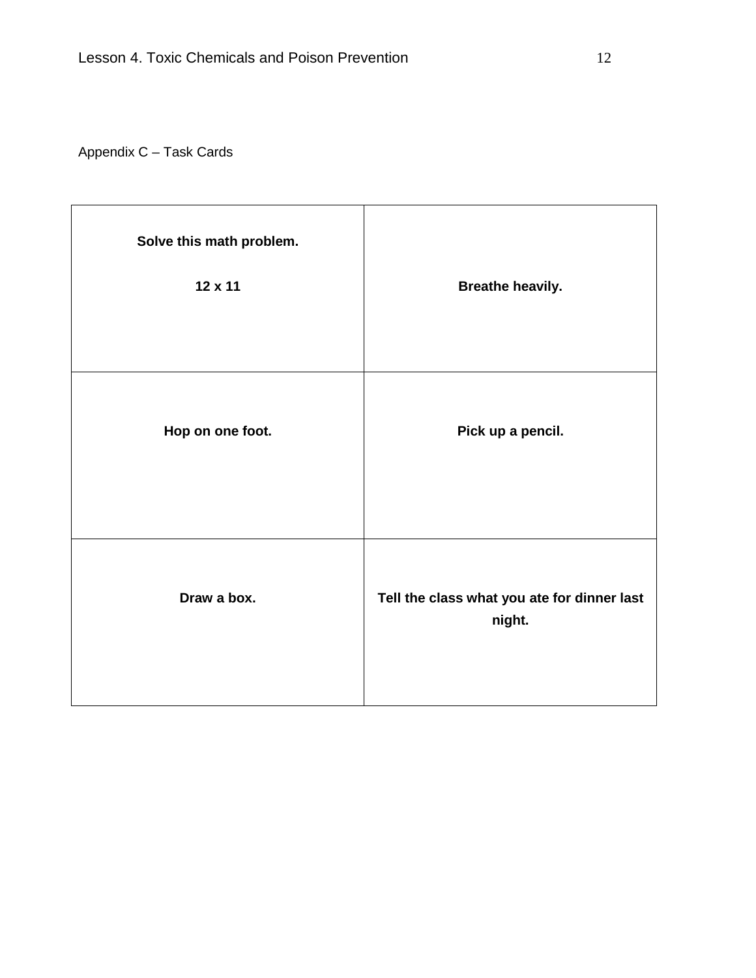## Appendix C – Task Cards

| Solve this math problem.<br>12 x 11 | <b>Breathe heavily.</b>                               |
|-------------------------------------|-------------------------------------------------------|
| Hop on one foot.                    | Pick up a pencil.                                     |
| Draw a box.                         | Tell the class what you ate for dinner last<br>night. |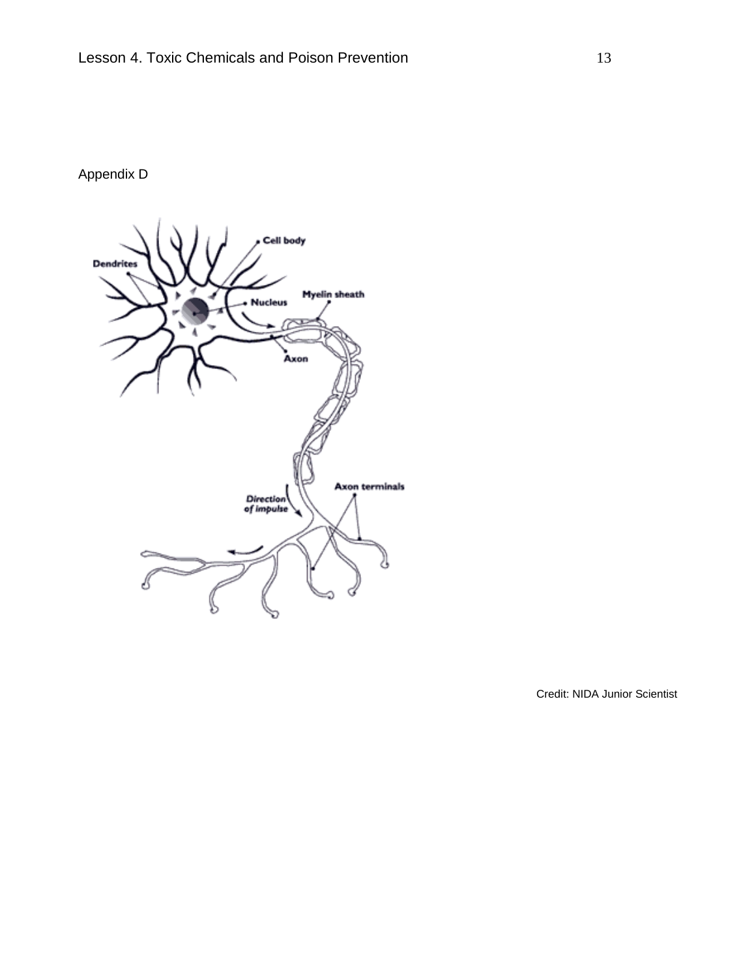## Appendix D



Credit: NIDA Junior Scientist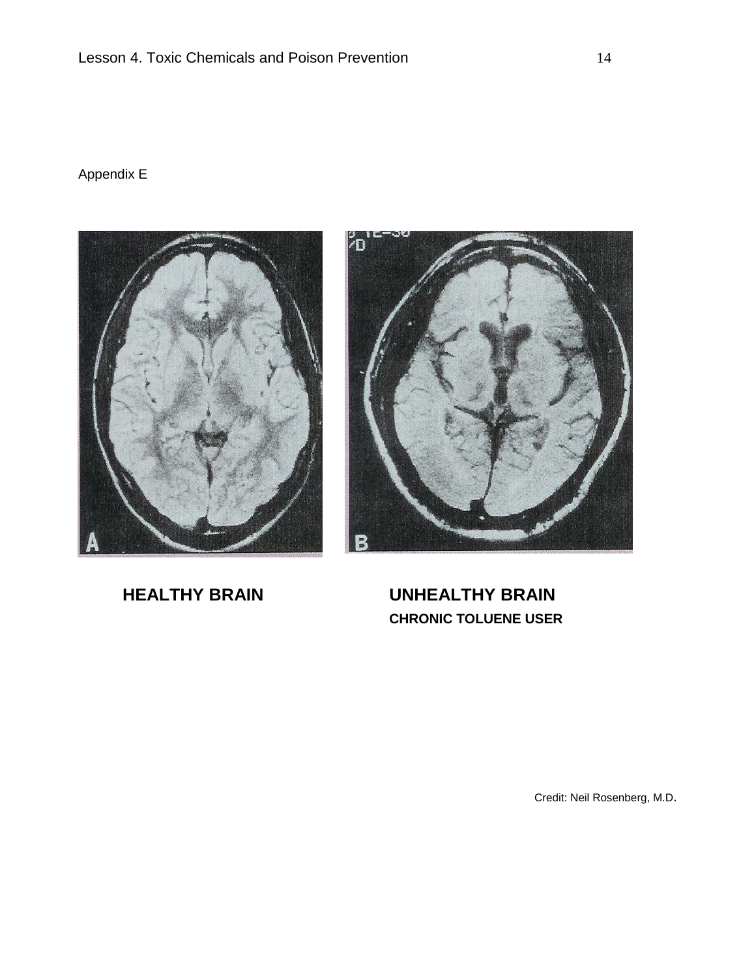## Appendix E





**HEALTHY BRAIN UNHEALTHY BRAIN CHRONIC TOLUENE USER**

Credit: Neil Rosenberg, M.D.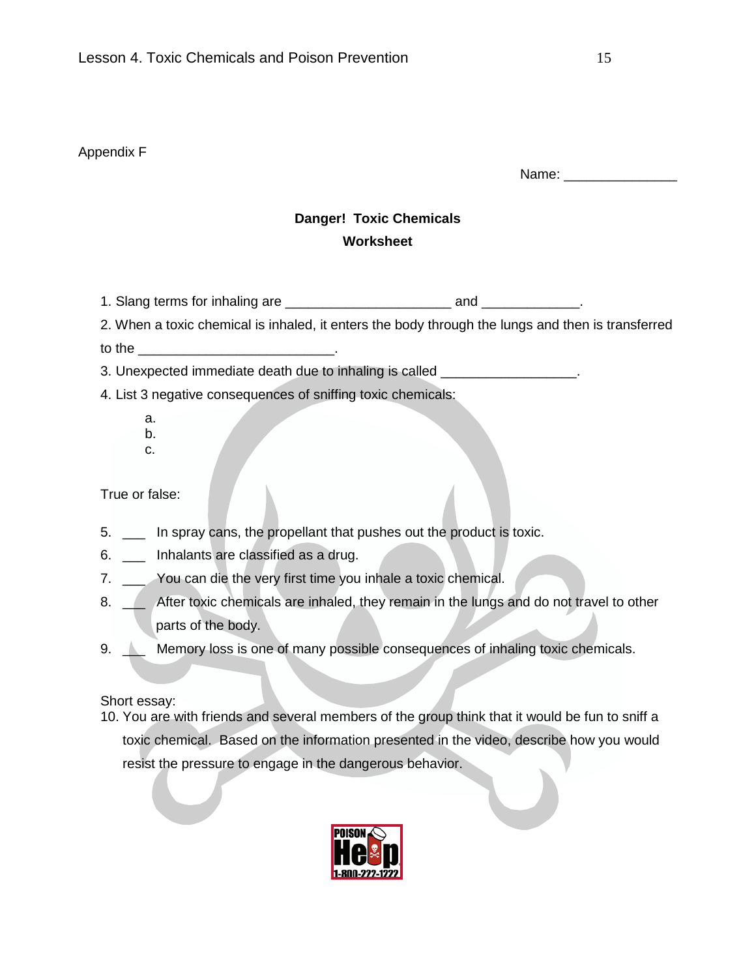### Appendix F

Name: \_\_\_\_\_\_\_\_\_\_\_\_\_\_\_

### **Danger! Toxic Chemicals Worksheet**

1. Slang terms for inhaling are \_\_\_\_\_\_\_\_\_\_\_\_\_\_\_\_\_\_\_\_\_\_ and \_\_\_\_\_\_\_\_\_\_\_\_\_.

2. When a toxic chemical is inhaled, it enters the body through the lungs and then is transferred

to the  $\blacksquare$ 

3. Unexpected immediate death due to inhaling is called \_\_\_\_\_\_\_\_\_\_\_\_\_\_\_\_\_\_\_.

- 4. List 3 negative consequences of sniffing toxic chemicals:
	- a.
	- b. c.

True or false:

- 5. \_\_\_ In spray cans, the propellant that pushes out the product is toxic.
- 6. \_\_\_ Inhalants are classified as a drug.
- 7. \_\_\_ You can die the very first time you inhale a toxic chemical.
- 8.  $\angle$  After toxic chemicals are inhaled, they remain in the lungs and do not travel to other parts of the body.
- 9. Nemory loss is one of many possible consequences of inhaling toxic chemicals.

### Short essay:

10. You are with friends and several members of the group think that it would be fun to sniff a toxic chemical. Based on the information presented in the video, describe how you would resist the pressure to engage in the dangerous behavior.

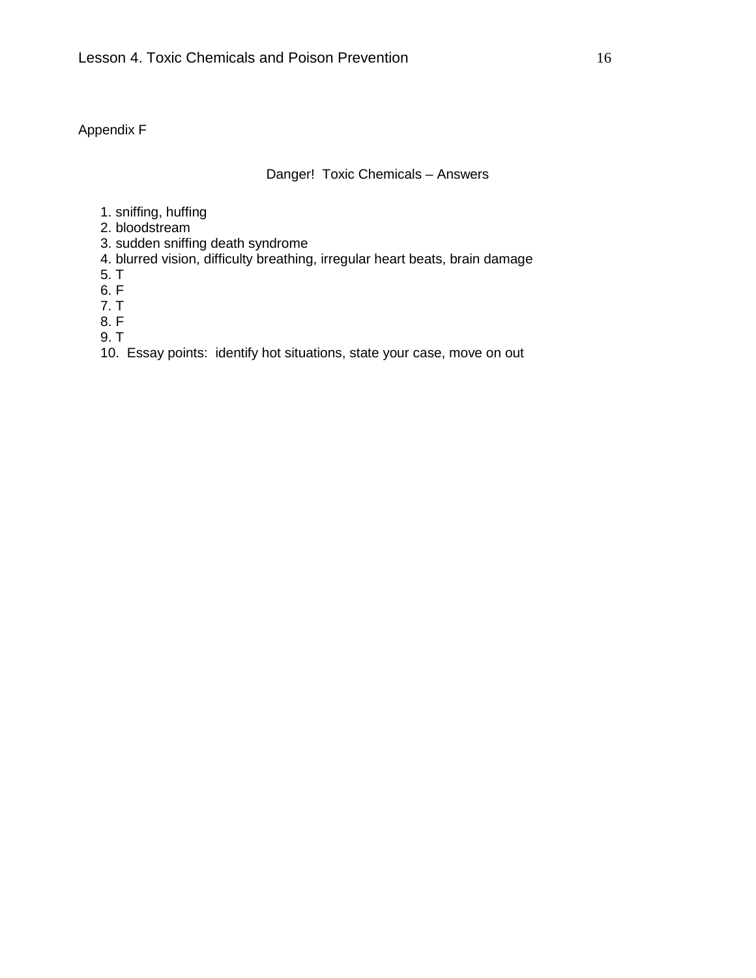### Appendix F

#### Danger! Toxic Chemicals – Answers

- 1. sniffing, huffing
- 2. bloodstream
- 3. sudden sniffing death syndrome
- 4. blurred vision, difficulty breathing, irregular heart beats, brain damage
- 5. T
- 6. F
- 7. T
- 8. F
- 9. T
- 10. Essay points: identify hot situations, state your case, move on out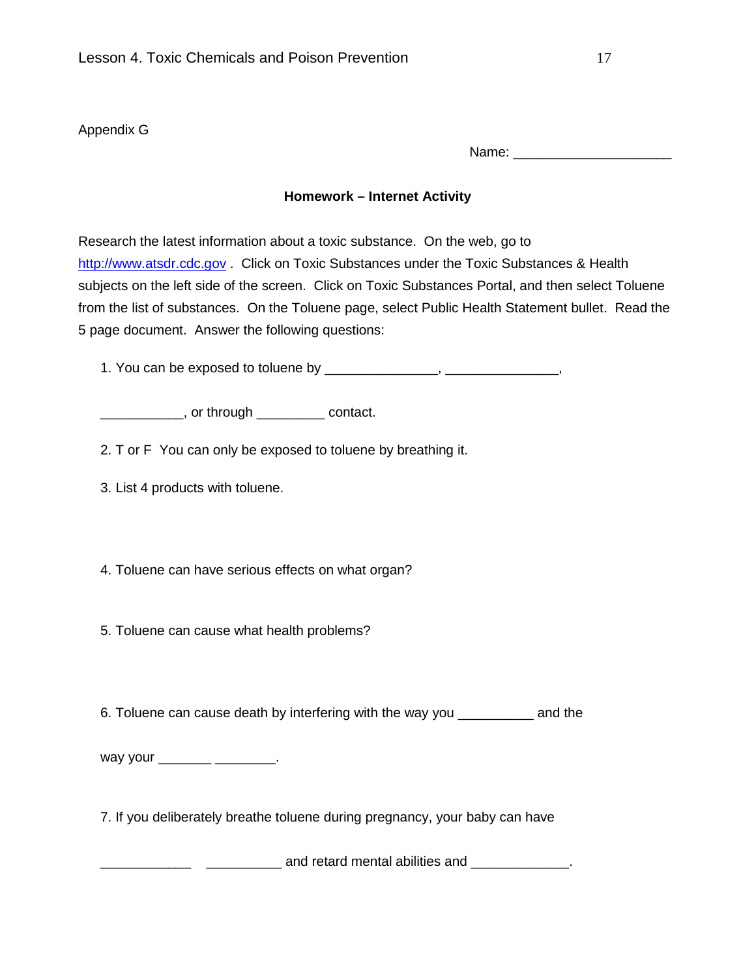### Appendix G

Name: \_\_\_\_\_\_\_\_\_\_\_\_\_\_\_\_\_\_\_\_\_

### **Homework – Internet Activity**

Research the latest information about a toxic substance. On the web, go to [http://www.atsdr.cdc.gov](http://www.atsdr.cdc.gov/). Click on Toxic Substances under the Toxic Substances & Health subjects on the left side of the screen. Click on Toxic Substances Portal, and then select Toluene from the list of substances. On the Toluene page, select Public Health Statement bullet. Read the 5 page document. Answer the following questions:

1. You can be exposed to toluene by \_\_\_\_\_\_\_\_\_\_\_\_\_\_\_\_, \_\_\_\_\_\_\_\_\_\_\_\_\_\_\_,

\_\_\_\_\_\_\_\_\_\_\_, or through \_\_\_\_\_\_\_\_\_ contact.

2. T or F You can only be exposed to toluene by breathing it.

3. List 4 products with toluene.

4. Toluene can have serious effects on what organ?

5. Toluene can cause what health problems?

6. Toluene can cause death by interfering with the way you \_\_\_\_\_\_\_\_\_\_ and the

way your \_\_\_\_\_\_\_\_ \_\_\_\_\_\_\_\_.

7. If you deliberately breathe toluene during pregnancy, your baby can have

 $\frac{1}{\sqrt{1-\frac{1}{2}}}\frac{1}{\sqrt{1-\frac{1}{2}}}\dots$  and retard mental abilities and  $\frac{1}{\sqrt{1-\frac{1}{2}}}\dots$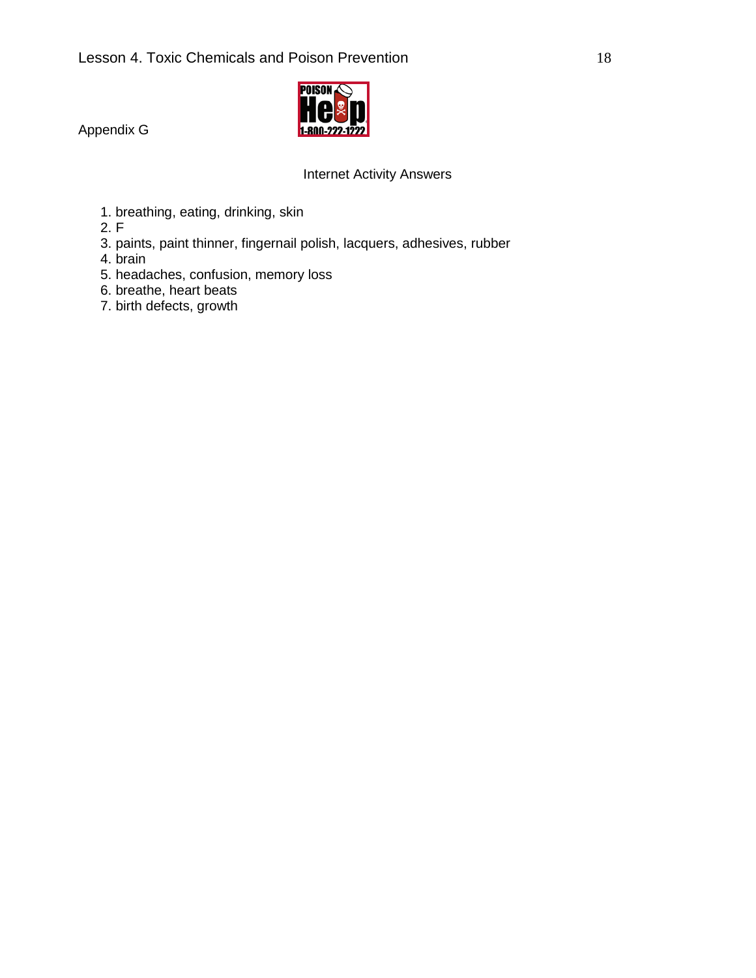

Appendix G

### Internet Activity Answers

1. breathing, eating, drinking, skin

2. F

- 3. paints, paint thinner, fingernail polish, lacquers, adhesives, rubber
- 4. brain
- 5. headaches, confusion, memory loss
- 6. breathe, heart beats
- 7. birth defects, growth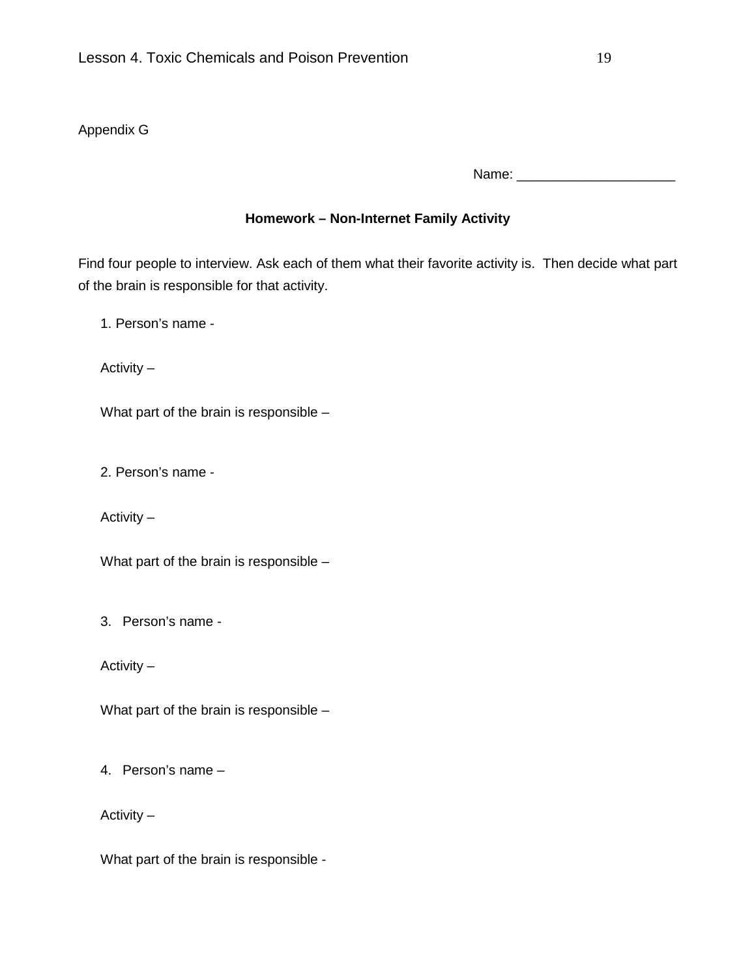### Appendix G

Name: \_\_\_\_\_\_\_\_\_\_\_\_\_\_\_\_\_\_\_\_\_

### **Homework – Non-Internet Family Activity**

Find four people to interview. Ask each of them what their favorite activity is. Then decide what part of the brain is responsible for that activity.

1. Person's name -

Activity –

What part of the brain is responsible –

2. Person's name -

Activity –

What part of the brain is responsible –

3. Person's name -

Activity –

What part of the brain is responsible –

4. Person's name –

Activity –

What part of the brain is responsible -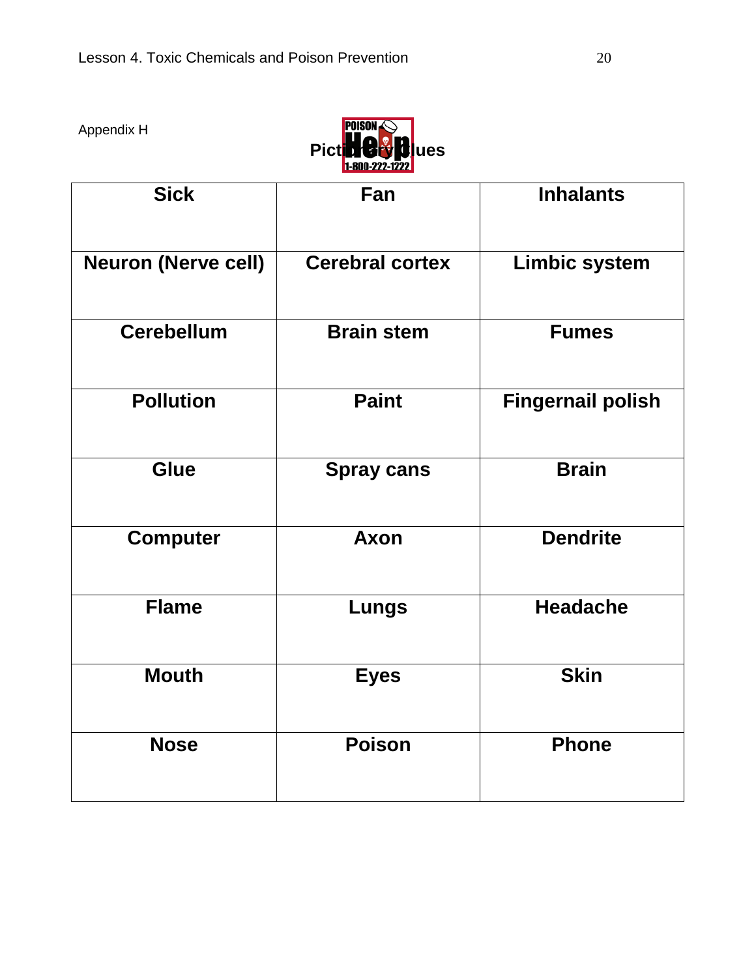Appendix H



| <b>Sick</b>                | Fan                    | <b>Inhalants</b>         |
|----------------------------|------------------------|--------------------------|
| <b>Neuron (Nerve cell)</b> | <b>Cerebral cortex</b> | <b>Limbic system</b>     |
| <b>Cerebellum</b>          | <b>Brain stem</b>      | <b>Fumes</b>             |
| <b>Pollution</b>           | <b>Paint</b>           | <b>Fingernail polish</b> |
| <b>Glue</b>                | <b>Spray cans</b>      | <b>Brain</b>             |
| <b>Computer</b>            | <b>Axon</b>            | <b>Dendrite</b>          |
| <b>Flame</b>               | <b>Lungs</b>           | <b>Headache</b>          |
| <b>Mouth</b>               | <b>Eyes</b>            | <b>Skin</b>              |
| <b>Nose</b>                | <b>Poison</b>          | <b>Phone</b>             |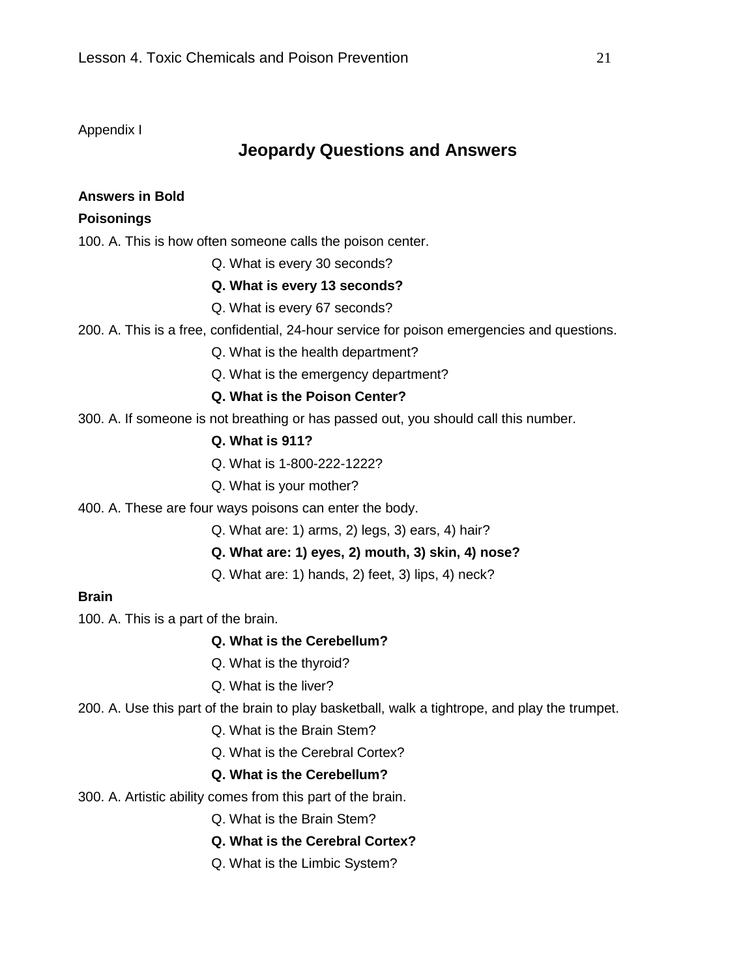Appendix I

### **Jeopardy Questions and Answers**

### **Answers in Bold**

### **Poisonings**

100. A. This is how often someone calls the poison center.

Q. What is every 30 seconds?

### **Q. What is every 13 seconds?**

- Q. What is every 67 seconds?
- 200. A. This is a free, confidential, 24-hour service for poison emergencies and questions.
	- Q. What is the health department?
	- Q. What is the emergency department?

### **Q. What is the Poison Center?**

300. A. If someone is not breathing or has passed out, you should call this number.

### **Q. What is 911?**

- Q. What is 1-800-222-1222?
- Q. What is your mother?
- 400. A. These are four ways poisons can enter the body.
	- Q. What are: 1) arms, 2) legs, 3) ears, 4) hair?
	- **Q. What are: 1) eyes, 2) mouth, 3) skin, 4) nose?**
	- Q. What are: 1) hands, 2) feet, 3) lips, 4) neck?

#### **Brain**

100. A. This is a part of the brain.

#### **Q. What is the Cerebellum?**

- Q. What is the thyroid?
- Q. What is the liver?
- 200. A. Use this part of the brain to play basketball, walk a tightrope, and play the trumpet.
	- Q. What is the Brain Stem?
	- Q. What is the Cerebral Cortex?

### **Q. What is the Cerebellum?**

- 300. A. Artistic ability comes from this part of the brain.
	- Q. What is the Brain Stem?
	- **Q. What is the Cerebral Cortex?**
	- Q. What is the Limbic System?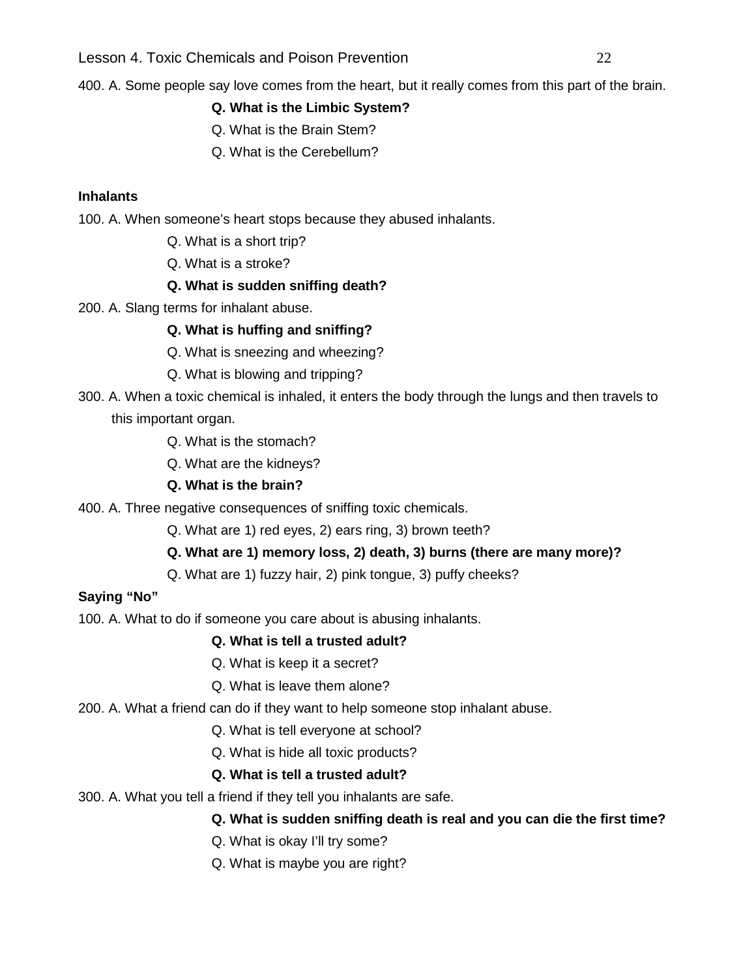Lesson 4. Toxic Chemicals and Poison Prevention 22

400. A. Some people say love comes from the heart, but it really comes from this part of the brain.

### **Q. What is the Limbic System?**

- Q. What is the Brain Stem?
- Q. What is the Cerebellum?

### **Inhalants**

100. A. When someone's heart stops because they abused inhalants.

- Q. What is a short trip?
- Q. What is a stroke?

### **Q. What is sudden sniffing death?**

200. A. Slang terms for inhalant abuse.

### **Q. What is huffing and sniffing?**

- Q. What is sneezing and wheezing?
- Q. What is blowing and tripping?
- 300. A. When a toxic chemical is inhaled, it enters the body through the lungs and then travels to this important organ.
	- Q. What is the stomach?
	- Q. What are the kidneys?

### **Q. What is the brain?**

400. A. Three negative consequences of sniffing toxic chemicals.

Q. What are 1) red eyes, 2) ears ring, 3) brown teeth?

- **Q. What are 1) memory loss, 2) death, 3) burns (there are many more)?**
- Q. What are 1) fuzzy hair, 2) pink tongue, 3) puffy cheeks?

### **Saying "No"**

100. A. What to do if someone you care about is abusing inhalants.

### **Q. What is tell a trusted adult?**

- Q. What is keep it a secret?
- Q. What is leave them alone?
- 200. A. What a friend can do if they want to help someone stop inhalant abuse.
	- Q. What is tell everyone at school?
	- Q. What is hide all toxic products?

### **Q. What is tell a trusted adult?**

300. A. What you tell a friend if they tell you inhalants are safe.

### **Q. What is sudden sniffing death is real and you can die the first time?**

- Q. What is okay I'll try some?
- Q. What is maybe you are right?